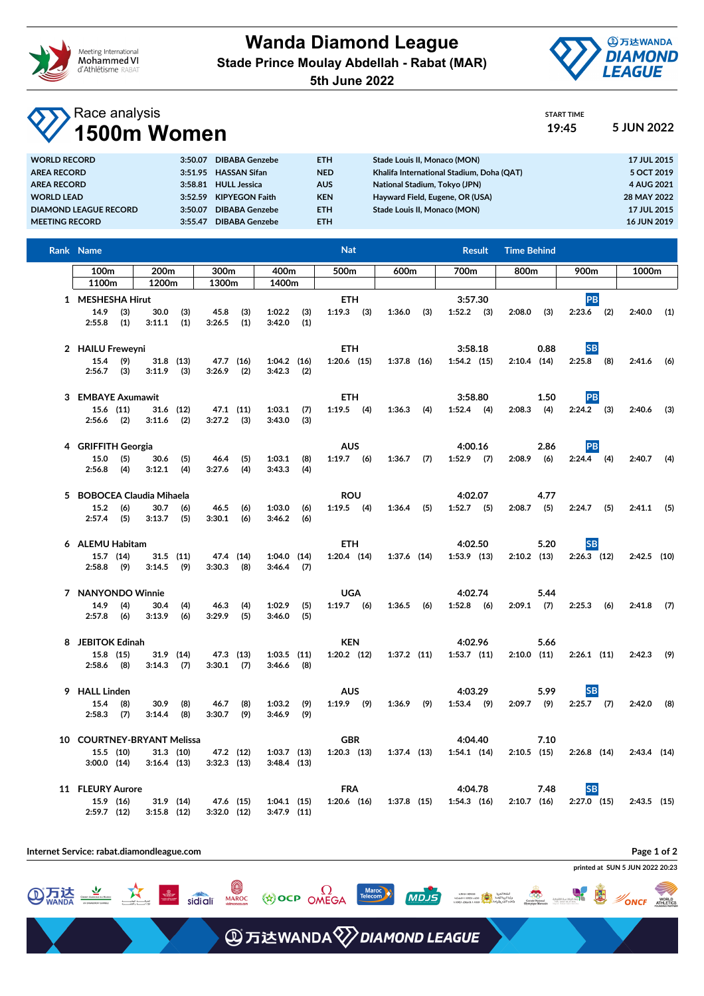

**Wanda Diamond League Stade Prince Moulay Abdellah - Rabat (MAR)**



START TIME

**5th June 2022**

## Race analysis **1500m Women 19:45 5 JUN 2022**

| TUUVIIT YYVIIIVIT            |         |                       |            |                                           |                    |
|------------------------------|---------|-----------------------|------------|-------------------------------------------|--------------------|
| <b>WORLD RECORD</b>          | 3:50.07 | <b>DIBABA Genzebe</b> | ETH.       | Stade Louis II, Monaco (MON)              | 17 JUL 2015        |
| <b>AREA RECORD</b>           | 3:51.95 | <b>HASSAN Sifan</b>   | <b>NED</b> | Khalifa International Stadium, Doha (QAT) | 5 OCT 2019         |
| <b>AREA RECORD</b>           | 3:58.81 | <b>HULL Jessica</b>   | <b>AUS</b> | National Stadium, Tokyo (JPN)             | 4 AUG 2021         |
| <b>WORLD LEAD</b>            | 3:52.59 | <b>KIPYEGON Faith</b> | <b>KEN</b> | Hayward Field, Eugene, OR (USA)           | 28 MAY 2022        |
| <b>DIAMOND LEAGUE RECORD</b> | 3:50.07 | <b>DIBABA Genzebe</b> | ETH.       | Stade Louis II. Monaco (MON)              | 17 JUL 2015        |
| <b>MEETING RECORD</b>        | 3:55.47 | <b>DIBABA Genzebe</b> | ETH.       |                                           | <b>16 JUN 2019</b> |
|                              |         |                       |            |                                           |                    |

| Rank Name                  |                            |            |                |            |                  |            | <b>Nat</b>      |               | <b>Result</b>   | <b>Time Behind</b> |               |               |
|----------------------------|----------------------------|------------|----------------|------------|------------------|------------|-----------------|---------------|-----------------|--------------------|---------------|---------------|
| 100m                       | 200m                       |            | 300m           |            | 400m             |            | 500m            | 600m          | 700m            | 800m               | 900m          | 1000m         |
| 1200m<br>1100m             |                            |            | 1300m          |            | 1400m            |            |                 |               |                 |                    |               |               |
| 1 MESHESHA Hirut           |                            |            |                |            |                  | <b>ETH</b> |                 | 3:57.30       |                 | PB                 |               |               |
| 14.9<br>(3)                | 30.0                       |            | 45.8           | (3)        | $1:02.2$ (3)     |            | $1:19.3$ (3)    | (3)<br>1:36.0 | $1:52.2$ (3)    | 2:08.0<br>(3)      |               | 2:40.0<br>(1) |
| 2:55.8<br>(1)              | 3:11.1                     | (3)<br>(1) | 3:26.5         | (1)        | 3:42.0           | (1)        |                 |               |                 |                    | $2:23.6$ (2)  |               |
|                            |                            |            |                |            |                  |            |                 |               |                 |                    |               |               |
|                            |                            |            |                |            |                  |            |                 |               |                 |                    |               |               |
| 2 HAILU Freweyni           |                            |            |                |            |                  |            | <b>ETH</b>      |               | 3:58.18         | 0.88               | <b>SB</b>     |               |
| 15.4<br>(9)                | $31.8$ (13)                |            | 47.7 (16)      |            | $1:04.2$ (16)    |            | $1:20.6$ (15)   | $1:37.8$ (16) | $1:54.2$ (15)   | $2:10.4$ (14)      | $2:25.8$ (8)  | $2:41.6$ (6)  |
| 2:56.7<br>(3)              | $3:11.9$ (3)               |            | 3:26.9         | (2)        | 3:42.3           | (2)        |                 |               |                 |                    |               |               |
|                            |                            |            |                |            |                  |            |                 |               |                 |                    |               |               |
| 3 EMBAYE Axumawit          |                            |            |                |            |                  |            | <b>ETH</b>      |               | 3:58.80         | 1.50               | PB            |               |
| 15.6 (11)                  | 31.6 (12)                  |            | 47.1 (11)      |            | 1:03.1           | (7)        | $1:19.5$ (4)    | $1:36.3$ (4)  | $1:52.4$ (4)    | 2:08.3<br>(4)      | $2:24.2$ (3)  | 2:40.6<br>(3) |
| $2:56.6$ (2)               | 3:11.6                     | (2)        | $3:27.2$ (3)   |            | 3:43.0           | (3)        |                 |               |                 |                    |               |               |
|                            |                            |            |                |            |                  |            |                 |               |                 |                    |               |               |
| 4 GRIFFITH Georgia         |                            |            |                |            |                  |            | <b>AUS</b>      |               | 4:00.16         | 2.86               | <b>PB</b>     |               |
| 15.0<br>(5)                | 30.6                       | (5)        | 46.4           | (5)        | 1:03.1           | (8)        | $1:19.7$ (6)    | 1:36.7<br>(7) | $1:52.9$ (7)    | 2:08.9<br>(6)      | $2:24.4$ (4)  | 2:40.7<br>(4) |
| 2:56.8<br>(4)              | 3:12.1                     | (4)        | 3:27.6         | (4)        | 3:43.3           | (4)        |                 |               |                 |                    |               |               |
|                            |                            |            |                |            |                  |            |                 |               |                 |                    |               |               |
| 5 BOBOCEA Claudia Mihaela  |                            |            |                |            |                  |            | <b>ROU</b>      |               | 4:02.07         | 4.77               |               |               |
|                            |                            |            |                |            |                  |            |                 |               |                 |                    |               |               |
| $15.2$ (6)<br>$2:57.4$ (5) | 30.7<br>3:13.7             | (6)<br>(5) | 46.5<br>3:30.1 | (6)<br>(6) | 1:03.0<br>3:46.2 | (6)<br>(6) | $1:19.5$ (4)    | $1:36.4$ (5)  | $1:52.7$ (5)    | $2:08.7$ (5)       | $2:24.7$ (5)  | $2:41.1$ (5)  |
|                            |                            |            |                |            |                  |            |                 |               |                 |                    |               |               |
|                            |                            |            |                |            |                  |            |                 |               |                 |                    |               |               |
| 6 ALEMU Habitam            |                            |            |                |            |                  |            | <b>ETH</b>      |               | 4:02.50         | 5.20               | <b>SB</b>     |               |
| 15.7 (14)                  | $31.5$ (11)                |            | 47.4           | (14)       | $1:04.0$ (14)    |            | $1:20.4$ (14)   | $1:37.6$ (14) | $1:53.9$ $(13)$ | $2:10.2$ (13)      | $2:26.3$ (12) | $2:42.5$ (10) |
| $2:58.8$ (9)               | 3:14.5                     | (9)        | 3:30.3         | (8)        | $3:46.4$ (7)     |            |                 |               |                 |                    |               |               |
|                            |                            |            |                |            |                  |            |                 |               |                 |                    |               |               |
| 7 NANYONDO Winnie          |                            |            |                |            |                  |            | <b>UGA</b>      |               | 4:02.74         | 5.44               |               |               |
| 14.9<br>(4)                | 30.4                       | (4)        | 46.3           | (4)        | 1:02.9           | (5)        | $1:19.7$ (6)    | $1:36.5$ (6)  | $1:52.8$ (6)    | $2:09.1$ (7)       | $2:25.3$ (6)  | 2:41.8<br>(7) |
| 2:57.8<br>(6)              | 3:13.9                     | (6)        | 3:29.9         | (5)        | 3:46.0           | (5)        |                 |               |                 |                    |               |               |
|                            |                            |            |                |            |                  |            |                 |               |                 |                    |               |               |
| 8 JEBITOK Edinah           |                            |            |                |            |                  |            | <b>KEN</b>      |               | 4:02.96         | 5.66               |               |               |
| $15.8$ (15)                | $31.9$ (14)                |            | 47.3 (13)      |            | $1:03.5$ (11)    |            | $1:20.2$ (12)   | $1:37.2$ (11) | $1:53.7$ (11)   | $2:10.0$ (11)      | $2:26.1$ (11) | 2:42.3<br>(9) |
| $2:58.6$ (8)               | 3:14.3                     | (7)        | $3:30.1$ (7)   |            | $3:46.6$ (8)     |            |                 |               |                 |                    |               |               |
|                            |                            |            |                |            |                  |            |                 |               |                 |                    |               |               |
| 9 HALL Linden              |                            |            |                |            |                  |            | <b>AUS</b>      |               | 4:03.29         | 5.99               | <b>SB</b>     |               |
| 15.4<br>(8)                | 30.9                       | (8)        | 46.7           | (8)        | 1:03.2           | (9)        | $1:19.9$ (9)    | 1:36.9<br>(9) | $1:53.4$ (9)    | $2:09.7$ (9)       | $2:25.7$ (7)  | 2:42.0<br>(8) |
| $2:58.3$ (7)               | 3:14.4                     | (8)        | 3:30.7         | (9)        | 3:46.9           | (9)        |                 |               |                 |                    |               |               |
|                            |                            |            |                |            |                  |            |                 |               |                 |                    |               |               |
|                            | 10 COURTNEY-BRYANT Melissa |            |                | <b>GBR</b> |                  | 4:04.40    | 7.10            |               |                 |                    |               |               |
| 15.5 (10)                  | $31.3$ (10)                |            | 47.2 (12)      |            | $1:03.7$ (13)    |            | $1:20.3$ $(13)$ | $1:37.4$ (13) | $1:54.1$ (14)   | $2:10.5$ (15)      | $2:26.8$ (14) | $2:43.4$ (14) |
| $3:00.0$ $(14)$            | $3:16.4$ (13)              |            | $3:32.3$ (13)  |            | $3:48.4$ (13)    |            |                 |               |                 |                    |               |               |
|                            |                            |            |                |            |                  |            |                 |               |                 |                    |               |               |
|                            |                            |            |                |            |                  |            | <b>FRA</b>      |               | 4:04.78         | 7.48               |               |               |
| 11 FLEURY Aurore           |                            |            |                |            |                  |            |                 |               |                 |                    | <b>SB</b>     |               |
| 15.9 (16)                  | 31.9 (14)                  |            | 47.6 (15)      |            | $1:04.1$ (15)    |            | $1:20.6$ (16)   | $1:37.8$ (15) | $1:54.3$ (16)   | $2:10.7$ (16)      | $2:27.0$ (15) | $2:43.5$ (15) |
| $2:59.7$ (12)              | $3:15.8$ (12)              |            | $3:32.0$ (12)  |            | $3:47.9$ (11)    |            |                 |               |                 |                    |               |               |